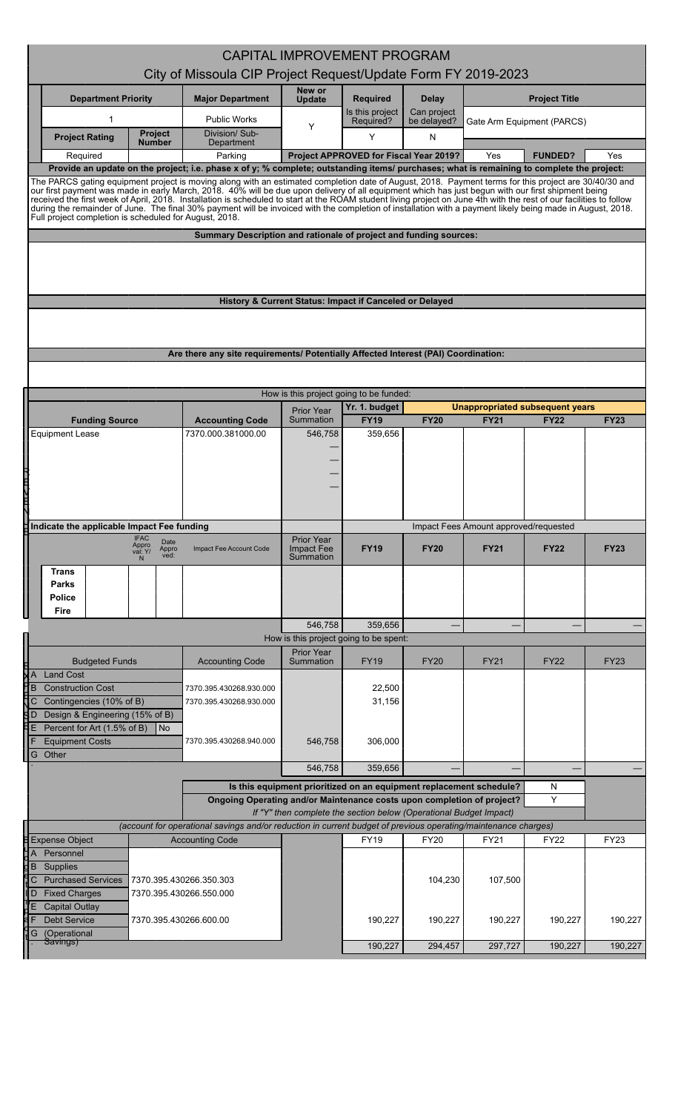| <b>CAPITAL IMPROVEMENT PROGRAM</b><br>City of Missoula CIP Project Request/Update Form FY 2019-2023<br>New or<br><b>Department Priority</b><br><b>Major Department</b><br><b>Required</b><br><b>Delay</b><br><b>Project Title</b><br>Update<br>Can project<br>Is this project<br>1<br><b>Public Works</b><br>Required?<br>be delayed?<br>Gate Arm Equipment (PARCS)<br>Y<br><b>Project</b><br>Division/Sub-<br>Y<br>N<br><b>Project Rating</b><br>Number<br>Department<br>Parking<br>Project APPROVED for Fiscal Year 2019?<br><b>FUNDED?</b><br>Yes<br>Yes<br>Required<br>Provide an update on the project; i.e. phase x of y; % complete; outstanding items/ purchases; what is remaining to complete the project:<br>The PARCS gating equipment project is moving along with an estimated completion date of August, 2018. Payment terms for this project are 30/40/30 and<br>our first payment was made in early March, 2018. 40% will be due upon delivery of all equipment which has just begun with our first shipment being<br>received the first week of April, 2018. Installation is scheduled to start at the ROAM student living project on June 4th with the rest of our facilities to follow<br>during the remainder of June. The final 30% payment will be invoiced with the completion of installation with a payment likely being made in August, 2018.<br>Full project completion is scheduled for August, 2018.<br>Summary Description and rationale of project and funding sources:<br>History & Current Status: Impact if Canceled or Delayed<br>Are there any site requirements/ Potentially Affected Interest (PAI) Coordination:<br>How is this project going to be funded:<br>Yr. 1. budget<br><b>Unappropriated subsequent years</b><br>Prior Year<br>Summation<br><b>FY19</b><br><b>FY20</b><br><b>FY21</b><br><b>FY23</b><br><b>Funding Source</b><br><b>FY22</b><br><b>Accounting Code</b><br>7370.000.381000.00<br><b>Equipment Lease</b><br>546,758<br>359,656<br>一个<br>Indicate the applicable Impact Fee funding<br>Impact Fees Amount approved/requested<br><b>IFAC</b><br><b>Prior Year</b><br>Date<br>Appro<br><b>Impact Fee</b><br><b>FY19</b><br><b>FY20</b><br><b>FY21</b><br><b>FY22</b><br><b>FY23</b><br>Appro<br>ved:<br>Impact Fee Account Code<br>val: Y/<br>Summation<br>Trans<br>Parks<br>Police<br>Fire<br>546,758<br>359.656<br>How is this project going to be spent:<br>Prior Year<br><b>Budgeted Funds</b><br><b>Accounting Code</b><br>Summation<br><b>FY19</b><br><b>FY20</b><br><b>FY21</b><br><b>FY22</b><br><b>FY23</b><br><b>Land Cost</b><br>B<br><b>Construction Cost</b><br>22,500<br>7370.395.430268.930.000<br>31,156<br>Contingencies (10% of B)<br>7370.395.430268.930.000<br>С<br>Design & Engineering (15% of B)<br>i D<br>Percent for Art (1.5% of B)<br>  No<br><b>Equipment Costs</b><br>546,758<br>306,000<br>7370.395.430268.940.000<br>G Other<br>546,758<br>359,656<br>Is this equipment prioritized on an equipment replacement schedule?<br>N<br>Υ<br>Ongoing Operating and/or Maintenance costs upon completion of project?<br>If "Y" then complete the section below (Operational Budget Impact)<br>(account for operational savings and/or reduction in current budget of previous operating/maintenance charges)<br><b>Expense Object</b><br><b>FY22</b><br><b>FY23</b><br><b>Accounting Code</b><br><b>FY19</b><br><b>FY20</b><br><b>FY21</b><br>Personnel<br>Supplies<br>B<br><b>Purchased Services</b><br>107,500<br>C<br>7370.395.430266.350.303<br>104,230<br><b>Fixed Charges</b><br>7370.395.430266.550.000<br>D<br><b>Capital Outlay</b><br><b>Debt Service</b><br>190,227<br>190,227<br>7370.395.430266.600.00<br>190,227<br>190,227<br>(Operational<br>G<br>Savings)<br>297,727<br>190,227<br>190,227<br>190,227<br>294,457 |  |  |  |  |  |  |  |  |         |
|-----------------------------------------------------------------------------------------------------------------------------------------------------------------------------------------------------------------------------------------------------------------------------------------------------------------------------------------------------------------------------------------------------------------------------------------------------------------------------------------------------------------------------------------------------------------------------------------------------------------------------------------------------------------------------------------------------------------------------------------------------------------------------------------------------------------------------------------------------------------------------------------------------------------------------------------------------------------------------------------------------------------------------------------------------------------------------------------------------------------------------------------------------------------------------------------------------------------------------------------------------------------------------------------------------------------------------------------------------------------------------------------------------------------------------------------------------------------------------------------------------------------------------------------------------------------------------------------------------------------------------------------------------------------------------------------------------------------------------------------------------------------------------------------------------------------------------------------------------------------------------------------------------------------------------------------------------------------------------------------------------------------------------------------------------------------------------------------------------------------------------------------------------------------------------------------------------------------------------------------------------------------------------------------------------------------------------------------------------------------------------------------------------------------------------------------------------------------------------------------------------------------------------------------------------------------------------------------------------------------------------------------------------------------------------------------------------------------------------------------------------------------------------------------------------------------------------------------------------------------------------------------------------------------------------------------------------------------------------------------------------------------------------------------------------------------------------------------------------------------------------------------------------------------------------------------------------------------------------------------------------------------------------------------------------------------------------------------------------------------------------------------------------------------------------------------------------------------------------------------------------------------------------------------------------------------------------------------------------------------------------------------------------------------------------------------------------------------------------------------------------------------------------------------------------------------------|--|--|--|--|--|--|--|--|---------|
|                                                                                                                                                                                                                                                                                                                                                                                                                                                                                                                                                                                                                                                                                                                                                                                                                                                                                                                                                                                                                                                                                                                                                                                                                                                                                                                                                                                                                                                                                                                                                                                                                                                                                                                                                                                                                                                                                                                                                                                                                                                                                                                                                                                                                                                                                                                                                                                                                                                                                                                                                                                                                                                                                                                                                                                                                                                                                                                                                                                                                                                                                                                                                                                                                                                                                                                                                                                                                                                                                                                                                                                                                                                                                                                                                                                                                       |  |  |  |  |  |  |  |  |         |
|                                                                                                                                                                                                                                                                                                                                                                                                                                                                                                                                                                                                                                                                                                                                                                                                                                                                                                                                                                                                                                                                                                                                                                                                                                                                                                                                                                                                                                                                                                                                                                                                                                                                                                                                                                                                                                                                                                                                                                                                                                                                                                                                                                                                                                                                                                                                                                                                                                                                                                                                                                                                                                                                                                                                                                                                                                                                                                                                                                                                                                                                                                                                                                                                                                                                                                                                                                                                                                                                                                                                                                                                                                                                                                                                                                                                                       |  |  |  |  |  |  |  |  |         |
|                                                                                                                                                                                                                                                                                                                                                                                                                                                                                                                                                                                                                                                                                                                                                                                                                                                                                                                                                                                                                                                                                                                                                                                                                                                                                                                                                                                                                                                                                                                                                                                                                                                                                                                                                                                                                                                                                                                                                                                                                                                                                                                                                                                                                                                                                                                                                                                                                                                                                                                                                                                                                                                                                                                                                                                                                                                                                                                                                                                                                                                                                                                                                                                                                                                                                                                                                                                                                                                                                                                                                                                                                                                                                                                                                                                                                       |  |  |  |  |  |  |  |  |         |
|                                                                                                                                                                                                                                                                                                                                                                                                                                                                                                                                                                                                                                                                                                                                                                                                                                                                                                                                                                                                                                                                                                                                                                                                                                                                                                                                                                                                                                                                                                                                                                                                                                                                                                                                                                                                                                                                                                                                                                                                                                                                                                                                                                                                                                                                                                                                                                                                                                                                                                                                                                                                                                                                                                                                                                                                                                                                                                                                                                                                                                                                                                                                                                                                                                                                                                                                                                                                                                                                                                                                                                                                                                                                                                                                                                                                                       |  |  |  |  |  |  |  |  |         |
|                                                                                                                                                                                                                                                                                                                                                                                                                                                                                                                                                                                                                                                                                                                                                                                                                                                                                                                                                                                                                                                                                                                                                                                                                                                                                                                                                                                                                                                                                                                                                                                                                                                                                                                                                                                                                                                                                                                                                                                                                                                                                                                                                                                                                                                                                                                                                                                                                                                                                                                                                                                                                                                                                                                                                                                                                                                                                                                                                                                                                                                                                                                                                                                                                                                                                                                                                                                                                                                                                                                                                                                                                                                                                                                                                                                                                       |  |  |  |  |  |  |  |  |         |
|                                                                                                                                                                                                                                                                                                                                                                                                                                                                                                                                                                                                                                                                                                                                                                                                                                                                                                                                                                                                                                                                                                                                                                                                                                                                                                                                                                                                                                                                                                                                                                                                                                                                                                                                                                                                                                                                                                                                                                                                                                                                                                                                                                                                                                                                                                                                                                                                                                                                                                                                                                                                                                                                                                                                                                                                                                                                                                                                                                                                                                                                                                                                                                                                                                                                                                                                                                                                                                                                                                                                                                                                                                                                                                                                                                                                                       |  |  |  |  |  |  |  |  |         |
|                                                                                                                                                                                                                                                                                                                                                                                                                                                                                                                                                                                                                                                                                                                                                                                                                                                                                                                                                                                                                                                                                                                                                                                                                                                                                                                                                                                                                                                                                                                                                                                                                                                                                                                                                                                                                                                                                                                                                                                                                                                                                                                                                                                                                                                                                                                                                                                                                                                                                                                                                                                                                                                                                                                                                                                                                                                                                                                                                                                                                                                                                                                                                                                                                                                                                                                                                                                                                                                                                                                                                                                                                                                                                                                                                                                                                       |  |  |  |  |  |  |  |  |         |
|                                                                                                                                                                                                                                                                                                                                                                                                                                                                                                                                                                                                                                                                                                                                                                                                                                                                                                                                                                                                                                                                                                                                                                                                                                                                                                                                                                                                                                                                                                                                                                                                                                                                                                                                                                                                                                                                                                                                                                                                                                                                                                                                                                                                                                                                                                                                                                                                                                                                                                                                                                                                                                                                                                                                                                                                                                                                                                                                                                                                                                                                                                                                                                                                                                                                                                                                                                                                                                                                                                                                                                                                                                                                                                                                                                                                                       |  |  |  |  |  |  |  |  |         |
|                                                                                                                                                                                                                                                                                                                                                                                                                                                                                                                                                                                                                                                                                                                                                                                                                                                                                                                                                                                                                                                                                                                                                                                                                                                                                                                                                                                                                                                                                                                                                                                                                                                                                                                                                                                                                                                                                                                                                                                                                                                                                                                                                                                                                                                                                                                                                                                                                                                                                                                                                                                                                                                                                                                                                                                                                                                                                                                                                                                                                                                                                                                                                                                                                                                                                                                                                                                                                                                                                                                                                                                                                                                                                                                                                                                                                       |  |  |  |  |  |  |  |  |         |
|                                                                                                                                                                                                                                                                                                                                                                                                                                                                                                                                                                                                                                                                                                                                                                                                                                                                                                                                                                                                                                                                                                                                                                                                                                                                                                                                                                                                                                                                                                                                                                                                                                                                                                                                                                                                                                                                                                                                                                                                                                                                                                                                                                                                                                                                                                                                                                                                                                                                                                                                                                                                                                                                                                                                                                                                                                                                                                                                                                                                                                                                                                                                                                                                                                                                                                                                                                                                                                                                                                                                                                                                                                                                                                                                                                                                                       |  |  |  |  |  |  |  |  |         |
|                                                                                                                                                                                                                                                                                                                                                                                                                                                                                                                                                                                                                                                                                                                                                                                                                                                                                                                                                                                                                                                                                                                                                                                                                                                                                                                                                                                                                                                                                                                                                                                                                                                                                                                                                                                                                                                                                                                                                                                                                                                                                                                                                                                                                                                                                                                                                                                                                                                                                                                                                                                                                                                                                                                                                                                                                                                                                                                                                                                                                                                                                                                                                                                                                                                                                                                                                                                                                                                                                                                                                                                                                                                                                                                                                                                                                       |  |  |  |  |  |  |  |  |         |
|                                                                                                                                                                                                                                                                                                                                                                                                                                                                                                                                                                                                                                                                                                                                                                                                                                                                                                                                                                                                                                                                                                                                                                                                                                                                                                                                                                                                                                                                                                                                                                                                                                                                                                                                                                                                                                                                                                                                                                                                                                                                                                                                                                                                                                                                                                                                                                                                                                                                                                                                                                                                                                                                                                                                                                                                                                                                                                                                                                                                                                                                                                                                                                                                                                                                                                                                                                                                                                                                                                                                                                                                                                                                                                                                                                                                                       |  |  |  |  |  |  |  |  |         |
|                                                                                                                                                                                                                                                                                                                                                                                                                                                                                                                                                                                                                                                                                                                                                                                                                                                                                                                                                                                                                                                                                                                                                                                                                                                                                                                                                                                                                                                                                                                                                                                                                                                                                                                                                                                                                                                                                                                                                                                                                                                                                                                                                                                                                                                                                                                                                                                                                                                                                                                                                                                                                                                                                                                                                                                                                                                                                                                                                                                                                                                                                                                                                                                                                                                                                                                                                                                                                                                                                                                                                                                                                                                                                                                                                                                                                       |  |  |  |  |  |  |  |  |         |
|                                                                                                                                                                                                                                                                                                                                                                                                                                                                                                                                                                                                                                                                                                                                                                                                                                                                                                                                                                                                                                                                                                                                                                                                                                                                                                                                                                                                                                                                                                                                                                                                                                                                                                                                                                                                                                                                                                                                                                                                                                                                                                                                                                                                                                                                                                                                                                                                                                                                                                                                                                                                                                                                                                                                                                                                                                                                                                                                                                                                                                                                                                                                                                                                                                                                                                                                                                                                                                                                                                                                                                                                                                                                                                                                                                                                                       |  |  |  |  |  |  |  |  |         |
|                                                                                                                                                                                                                                                                                                                                                                                                                                                                                                                                                                                                                                                                                                                                                                                                                                                                                                                                                                                                                                                                                                                                                                                                                                                                                                                                                                                                                                                                                                                                                                                                                                                                                                                                                                                                                                                                                                                                                                                                                                                                                                                                                                                                                                                                                                                                                                                                                                                                                                                                                                                                                                                                                                                                                                                                                                                                                                                                                                                                                                                                                                                                                                                                                                                                                                                                                                                                                                                                                                                                                                                                                                                                                                                                                                                                                       |  |  |  |  |  |  |  |  |         |
|                                                                                                                                                                                                                                                                                                                                                                                                                                                                                                                                                                                                                                                                                                                                                                                                                                                                                                                                                                                                                                                                                                                                                                                                                                                                                                                                                                                                                                                                                                                                                                                                                                                                                                                                                                                                                                                                                                                                                                                                                                                                                                                                                                                                                                                                                                                                                                                                                                                                                                                                                                                                                                                                                                                                                                                                                                                                                                                                                                                                                                                                                                                                                                                                                                                                                                                                                                                                                                                                                                                                                                                                                                                                                                                                                                                                                       |  |  |  |  |  |  |  |  |         |
|                                                                                                                                                                                                                                                                                                                                                                                                                                                                                                                                                                                                                                                                                                                                                                                                                                                                                                                                                                                                                                                                                                                                                                                                                                                                                                                                                                                                                                                                                                                                                                                                                                                                                                                                                                                                                                                                                                                                                                                                                                                                                                                                                                                                                                                                                                                                                                                                                                                                                                                                                                                                                                                                                                                                                                                                                                                                                                                                                                                                                                                                                                                                                                                                                                                                                                                                                                                                                                                                                                                                                                                                                                                                                                                                                                                                                       |  |  |  |  |  |  |  |  |         |
|                                                                                                                                                                                                                                                                                                                                                                                                                                                                                                                                                                                                                                                                                                                                                                                                                                                                                                                                                                                                                                                                                                                                                                                                                                                                                                                                                                                                                                                                                                                                                                                                                                                                                                                                                                                                                                                                                                                                                                                                                                                                                                                                                                                                                                                                                                                                                                                                                                                                                                                                                                                                                                                                                                                                                                                                                                                                                                                                                                                                                                                                                                                                                                                                                                                                                                                                                                                                                                                                                                                                                                                                                                                                                                                                                                                                                       |  |  |  |  |  |  |  |  |         |
|                                                                                                                                                                                                                                                                                                                                                                                                                                                                                                                                                                                                                                                                                                                                                                                                                                                                                                                                                                                                                                                                                                                                                                                                                                                                                                                                                                                                                                                                                                                                                                                                                                                                                                                                                                                                                                                                                                                                                                                                                                                                                                                                                                                                                                                                                                                                                                                                                                                                                                                                                                                                                                                                                                                                                                                                                                                                                                                                                                                                                                                                                                                                                                                                                                                                                                                                                                                                                                                                                                                                                                                                                                                                                                                                                                                                                       |  |  |  |  |  |  |  |  |         |
|                                                                                                                                                                                                                                                                                                                                                                                                                                                                                                                                                                                                                                                                                                                                                                                                                                                                                                                                                                                                                                                                                                                                                                                                                                                                                                                                                                                                                                                                                                                                                                                                                                                                                                                                                                                                                                                                                                                                                                                                                                                                                                                                                                                                                                                                                                                                                                                                                                                                                                                                                                                                                                                                                                                                                                                                                                                                                                                                                                                                                                                                                                                                                                                                                                                                                                                                                                                                                                                                                                                                                                                                                                                                                                                                                                                                                       |  |  |  |  |  |  |  |  |         |
|                                                                                                                                                                                                                                                                                                                                                                                                                                                                                                                                                                                                                                                                                                                                                                                                                                                                                                                                                                                                                                                                                                                                                                                                                                                                                                                                                                                                                                                                                                                                                                                                                                                                                                                                                                                                                                                                                                                                                                                                                                                                                                                                                                                                                                                                                                                                                                                                                                                                                                                                                                                                                                                                                                                                                                                                                                                                                                                                                                                                                                                                                                                                                                                                                                                                                                                                                                                                                                                                                                                                                                                                                                                                                                                                                                                                                       |  |  |  |  |  |  |  |  |         |
|                                                                                                                                                                                                                                                                                                                                                                                                                                                                                                                                                                                                                                                                                                                                                                                                                                                                                                                                                                                                                                                                                                                                                                                                                                                                                                                                                                                                                                                                                                                                                                                                                                                                                                                                                                                                                                                                                                                                                                                                                                                                                                                                                                                                                                                                                                                                                                                                                                                                                                                                                                                                                                                                                                                                                                                                                                                                                                                                                                                                                                                                                                                                                                                                                                                                                                                                                                                                                                                                                                                                                                                                                                                                                                                                                                                                                       |  |  |  |  |  |  |  |  |         |
|                                                                                                                                                                                                                                                                                                                                                                                                                                                                                                                                                                                                                                                                                                                                                                                                                                                                                                                                                                                                                                                                                                                                                                                                                                                                                                                                                                                                                                                                                                                                                                                                                                                                                                                                                                                                                                                                                                                                                                                                                                                                                                                                                                                                                                                                                                                                                                                                                                                                                                                                                                                                                                                                                                                                                                                                                                                                                                                                                                                                                                                                                                                                                                                                                                                                                                                                                                                                                                                                                                                                                                                                                                                                                                                                                                                                                       |  |  |  |  |  |  |  |  |         |
|                                                                                                                                                                                                                                                                                                                                                                                                                                                                                                                                                                                                                                                                                                                                                                                                                                                                                                                                                                                                                                                                                                                                                                                                                                                                                                                                                                                                                                                                                                                                                                                                                                                                                                                                                                                                                                                                                                                                                                                                                                                                                                                                                                                                                                                                                                                                                                                                                                                                                                                                                                                                                                                                                                                                                                                                                                                                                                                                                                                                                                                                                                                                                                                                                                                                                                                                                                                                                                                                                                                                                                                                                                                                                                                                                                                                                       |  |  |  |  |  |  |  |  |         |
|                                                                                                                                                                                                                                                                                                                                                                                                                                                                                                                                                                                                                                                                                                                                                                                                                                                                                                                                                                                                                                                                                                                                                                                                                                                                                                                                                                                                                                                                                                                                                                                                                                                                                                                                                                                                                                                                                                                                                                                                                                                                                                                                                                                                                                                                                                                                                                                                                                                                                                                                                                                                                                                                                                                                                                                                                                                                                                                                                                                                                                                                                                                                                                                                                                                                                                                                                                                                                                                                                                                                                                                                                                                                                                                                                                                                                       |  |  |  |  |  |  |  |  |         |
|                                                                                                                                                                                                                                                                                                                                                                                                                                                                                                                                                                                                                                                                                                                                                                                                                                                                                                                                                                                                                                                                                                                                                                                                                                                                                                                                                                                                                                                                                                                                                                                                                                                                                                                                                                                                                                                                                                                                                                                                                                                                                                                                                                                                                                                                                                                                                                                                                                                                                                                                                                                                                                                                                                                                                                                                                                                                                                                                                                                                                                                                                                                                                                                                                                                                                                                                                                                                                                                                                                                                                                                                                                                                                                                                                                                                                       |  |  |  |  |  |  |  |  |         |
|                                                                                                                                                                                                                                                                                                                                                                                                                                                                                                                                                                                                                                                                                                                                                                                                                                                                                                                                                                                                                                                                                                                                                                                                                                                                                                                                                                                                                                                                                                                                                                                                                                                                                                                                                                                                                                                                                                                                                                                                                                                                                                                                                                                                                                                                                                                                                                                                                                                                                                                                                                                                                                                                                                                                                                                                                                                                                                                                                                                                                                                                                                                                                                                                                                                                                                                                                                                                                                                                                                                                                                                                                                                                                                                                                                                                                       |  |  |  |  |  |  |  |  |         |
|                                                                                                                                                                                                                                                                                                                                                                                                                                                                                                                                                                                                                                                                                                                                                                                                                                                                                                                                                                                                                                                                                                                                                                                                                                                                                                                                                                                                                                                                                                                                                                                                                                                                                                                                                                                                                                                                                                                                                                                                                                                                                                                                                                                                                                                                                                                                                                                                                                                                                                                                                                                                                                                                                                                                                                                                                                                                                                                                                                                                                                                                                                                                                                                                                                                                                                                                                                                                                                                                                                                                                                                                                                                                                                                                                                                                                       |  |  |  |  |  |  |  |  |         |
|                                                                                                                                                                                                                                                                                                                                                                                                                                                                                                                                                                                                                                                                                                                                                                                                                                                                                                                                                                                                                                                                                                                                                                                                                                                                                                                                                                                                                                                                                                                                                                                                                                                                                                                                                                                                                                                                                                                                                                                                                                                                                                                                                                                                                                                                                                                                                                                                                                                                                                                                                                                                                                                                                                                                                                                                                                                                                                                                                                                                                                                                                                                                                                                                                                                                                                                                                                                                                                                                                                                                                                                                                                                                                                                                                                                                                       |  |  |  |  |  |  |  |  |         |
|                                                                                                                                                                                                                                                                                                                                                                                                                                                                                                                                                                                                                                                                                                                                                                                                                                                                                                                                                                                                                                                                                                                                                                                                                                                                                                                                                                                                                                                                                                                                                                                                                                                                                                                                                                                                                                                                                                                                                                                                                                                                                                                                                                                                                                                                                                                                                                                                                                                                                                                                                                                                                                                                                                                                                                                                                                                                                                                                                                                                                                                                                                                                                                                                                                                                                                                                                                                                                                                                                                                                                                                                                                                                                                                                                                                                                       |  |  |  |  |  |  |  |  |         |
|                                                                                                                                                                                                                                                                                                                                                                                                                                                                                                                                                                                                                                                                                                                                                                                                                                                                                                                                                                                                                                                                                                                                                                                                                                                                                                                                                                                                                                                                                                                                                                                                                                                                                                                                                                                                                                                                                                                                                                                                                                                                                                                                                                                                                                                                                                                                                                                                                                                                                                                                                                                                                                                                                                                                                                                                                                                                                                                                                                                                                                                                                                                                                                                                                                                                                                                                                                                                                                                                                                                                                                                                                                                                                                                                                                                                                       |  |  |  |  |  |  |  |  |         |
|                                                                                                                                                                                                                                                                                                                                                                                                                                                                                                                                                                                                                                                                                                                                                                                                                                                                                                                                                                                                                                                                                                                                                                                                                                                                                                                                                                                                                                                                                                                                                                                                                                                                                                                                                                                                                                                                                                                                                                                                                                                                                                                                                                                                                                                                                                                                                                                                                                                                                                                                                                                                                                                                                                                                                                                                                                                                                                                                                                                                                                                                                                                                                                                                                                                                                                                                                                                                                                                                                                                                                                                                                                                                                                                                                                                                                       |  |  |  |  |  |  |  |  |         |
|                                                                                                                                                                                                                                                                                                                                                                                                                                                                                                                                                                                                                                                                                                                                                                                                                                                                                                                                                                                                                                                                                                                                                                                                                                                                                                                                                                                                                                                                                                                                                                                                                                                                                                                                                                                                                                                                                                                                                                                                                                                                                                                                                                                                                                                                                                                                                                                                                                                                                                                                                                                                                                                                                                                                                                                                                                                                                                                                                                                                                                                                                                                                                                                                                                                                                                                                                                                                                                                                                                                                                                                                                                                                                                                                                                                                                       |  |  |  |  |  |  |  |  |         |
|                                                                                                                                                                                                                                                                                                                                                                                                                                                                                                                                                                                                                                                                                                                                                                                                                                                                                                                                                                                                                                                                                                                                                                                                                                                                                                                                                                                                                                                                                                                                                                                                                                                                                                                                                                                                                                                                                                                                                                                                                                                                                                                                                                                                                                                                                                                                                                                                                                                                                                                                                                                                                                                                                                                                                                                                                                                                                                                                                                                                                                                                                                                                                                                                                                                                                                                                                                                                                                                                                                                                                                                                                                                                                                                                                                                                                       |  |  |  |  |  |  |  |  |         |
|                                                                                                                                                                                                                                                                                                                                                                                                                                                                                                                                                                                                                                                                                                                                                                                                                                                                                                                                                                                                                                                                                                                                                                                                                                                                                                                                                                                                                                                                                                                                                                                                                                                                                                                                                                                                                                                                                                                                                                                                                                                                                                                                                                                                                                                                                                                                                                                                                                                                                                                                                                                                                                                                                                                                                                                                                                                                                                                                                                                                                                                                                                                                                                                                                                                                                                                                                                                                                                                                                                                                                                                                                                                                                                                                                                                                                       |  |  |  |  |  |  |  |  |         |
|                                                                                                                                                                                                                                                                                                                                                                                                                                                                                                                                                                                                                                                                                                                                                                                                                                                                                                                                                                                                                                                                                                                                                                                                                                                                                                                                                                                                                                                                                                                                                                                                                                                                                                                                                                                                                                                                                                                                                                                                                                                                                                                                                                                                                                                                                                                                                                                                                                                                                                                                                                                                                                                                                                                                                                                                                                                                                                                                                                                                                                                                                                                                                                                                                                                                                                                                                                                                                                                                                                                                                                                                                                                                                                                                                                                                                       |  |  |  |  |  |  |  |  |         |
|                                                                                                                                                                                                                                                                                                                                                                                                                                                                                                                                                                                                                                                                                                                                                                                                                                                                                                                                                                                                                                                                                                                                                                                                                                                                                                                                                                                                                                                                                                                                                                                                                                                                                                                                                                                                                                                                                                                                                                                                                                                                                                                                                                                                                                                                                                                                                                                                                                                                                                                                                                                                                                                                                                                                                                                                                                                                                                                                                                                                                                                                                                                                                                                                                                                                                                                                                                                                                                                                                                                                                                                                                                                                                                                                                                                                                       |  |  |  |  |  |  |  |  |         |
|                                                                                                                                                                                                                                                                                                                                                                                                                                                                                                                                                                                                                                                                                                                                                                                                                                                                                                                                                                                                                                                                                                                                                                                                                                                                                                                                                                                                                                                                                                                                                                                                                                                                                                                                                                                                                                                                                                                                                                                                                                                                                                                                                                                                                                                                                                                                                                                                                                                                                                                                                                                                                                                                                                                                                                                                                                                                                                                                                                                                                                                                                                                                                                                                                                                                                                                                                                                                                                                                                                                                                                                                                                                                                                                                                                                                                       |  |  |  |  |  |  |  |  |         |
|                                                                                                                                                                                                                                                                                                                                                                                                                                                                                                                                                                                                                                                                                                                                                                                                                                                                                                                                                                                                                                                                                                                                                                                                                                                                                                                                                                                                                                                                                                                                                                                                                                                                                                                                                                                                                                                                                                                                                                                                                                                                                                                                                                                                                                                                                                                                                                                                                                                                                                                                                                                                                                                                                                                                                                                                                                                                                                                                                                                                                                                                                                                                                                                                                                                                                                                                                                                                                                                                                                                                                                                                                                                                                                                                                                                                                       |  |  |  |  |  |  |  |  |         |
|                                                                                                                                                                                                                                                                                                                                                                                                                                                                                                                                                                                                                                                                                                                                                                                                                                                                                                                                                                                                                                                                                                                                                                                                                                                                                                                                                                                                                                                                                                                                                                                                                                                                                                                                                                                                                                                                                                                                                                                                                                                                                                                                                                                                                                                                                                                                                                                                                                                                                                                                                                                                                                                                                                                                                                                                                                                                                                                                                                                                                                                                                                                                                                                                                                                                                                                                                                                                                                                                                                                                                                                                                                                                                                                                                                                                                       |  |  |  |  |  |  |  |  |         |
|                                                                                                                                                                                                                                                                                                                                                                                                                                                                                                                                                                                                                                                                                                                                                                                                                                                                                                                                                                                                                                                                                                                                                                                                                                                                                                                                                                                                                                                                                                                                                                                                                                                                                                                                                                                                                                                                                                                                                                                                                                                                                                                                                                                                                                                                                                                                                                                                                                                                                                                                                                                                                                                                                                                                                                                                                                                                                                                                                                                                                                                                                                                                                                                                                                                                                                                                                                                                                                                                                                                                                                                                                                                                                                                                                                                                                       |  |  |  |  |  |  |  |  |         |
|                                                                                                                                                                                                                                                                                                                                                                                                                                                                                                                                                                                                                                                                                                                                                                                                                                                                                                                                                                                                                                                                                                                                                                                                                                                                                                                                                                                                                                                                                                                                                                                                                                                                                                                                                                                                                                                                                                                                                                                                                                                                                                                                                                                                                                                                                                                                                                                                                                                                                                                                                                                                                                                                                                                                                                                                                                                                                                                                                                                                                                                                                                                                                                                                                                                                                                                                                                                                                                                                                                                                                                                                                                                                                                                                                                                                                       |  |  |  |  |  |  |  |  |         |
|                                                                                                                                                                                                                                                                                                                                                                                                                                                                                                                                                                                                                                                                                                                                                                                                                                                                                                                                                                                                                                                                                                                                                                                                                                                                                                                                                                                                                                                                                                                                                                                                                                                                                                                                                                                                                                                                                                                                                                                                                                                                                                                                                                                                                                                                                                                                                                                                                                                                                                                                                                                                                                                                                                                                                                                                                                                                                                                                                                                                                                                                                                                                                                                                                                                                                                                                                                                                                                                                                                                                                                                                                                                                                                                                                                                                                       |  |  |  |  |  |  |  |  | 190,227 |
|                                                                                                                                                                                                                                                                                                                                                                                                                                                                                                                                                                                                                                                                                                                                                                                                                                                                                                                                                                                                                                                                                                                                                                                                                                                                                                                                                                                                                                                                                                                                                                                                                                                                                                                                                                                                                                                                                                                                                                                                                                                                                                                                                                                                                                                                                                                                                                                                                                                                                                                                                                                                                                                                                                                                                                                                                                                                                                                                                                                                                                                                                                                                                                                                                                                                                                                                                                                                                                                                                                                                                                                                                                                                                                                                                                                                                       |  |  |  |  |  |  |  |  |         |
|                                                                                                                                                                                                                                                                                                                                                                                                                                                                                                                                                                                                                                                                                                                                                                                                                                                                                                                                                                                                                                                                                                                                                                                                                                                                                                                                                                                                                                                                                                                                                                                                                                                                                                                                                                                                                                                                                                                                                                                                                                                                                                                                                                                                                                                                                                                                                                                                                                                                                                                                                                                                                                                                                                                                                                                                                                                                                                                                                                                                                                                                                                                                                                                                                                                                                                                                                                                                                                                                                                                                                                                                                                                                                                                                                                                                                       |  |  |  |  |  |  |  |  |         |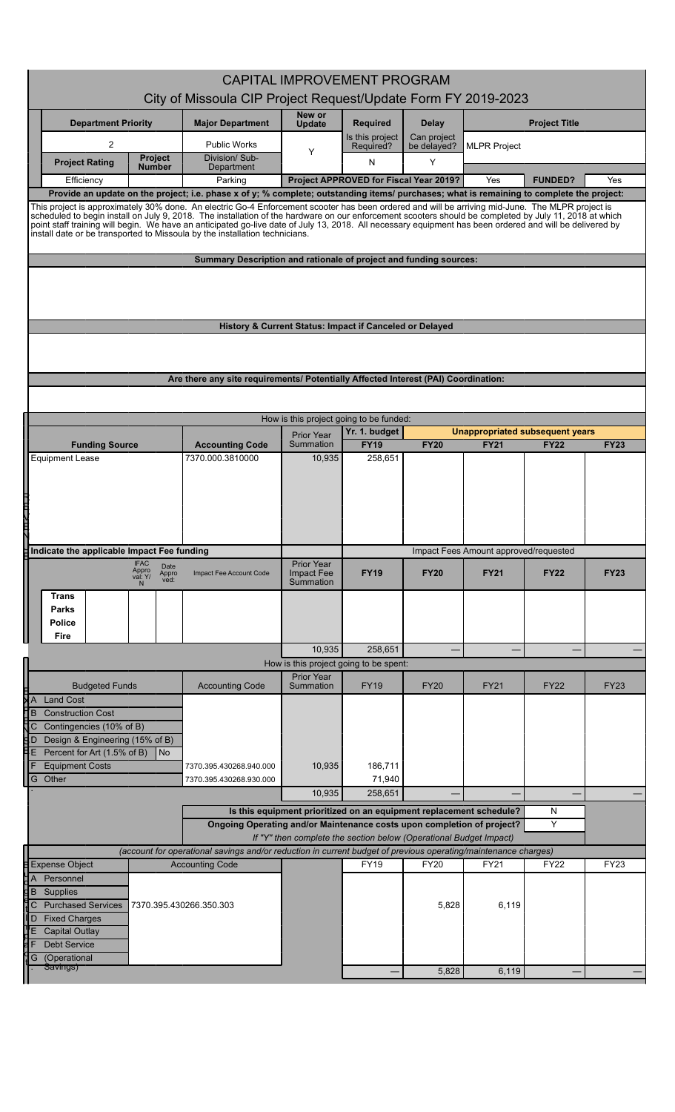|                                                                                                                                              | <b>CAPITAL IMPROVEMENT PROGRAM</b>                                                                                                                                                                                                                                                                                                                                                                                                                                                                                                                    |                                                                                    |                                         |                                        |                            |                     |                                 |             |  |  |
|----------------------------------------------------------------------------------------------------------------------------------------------|-------------------------------------------------------------------------------------------------------------------------------------------------------------------------------------------------------------------------------------------------------------------------------------------------------------------------------------------------------------------------------------------------------------------------------------------------------------------------------------------------------------------------------------------------------|------------------------------------------------------------------------------------|-----------------------------------------|----------------------------------------|----------------------------|---------------------|---------------------------------|-------------|--|--|
|                                                                                                                                              | City of Missoula CIP Project Request/Update Form FY 2019-2023                                                                                                                                                                                                                                                                                                                                                                                                                                                                                         |                                                                                    |                                         |                                        |                            |                     |                                 |             |  |  |
| <b>Department Priority</b>                                                                                                                   |                                                                                                                                                                                                                                                                                                                                                                                                                                                                                                                                                       | <b>Major Department</b>                                                            | New or<br><b>Update</b>                 | <b>Required</b>                        | <b>Delay</b>               |                     | <b>Project Title</b>            |             |  |  |
| $\overline{2}$                                                                                                                               |                                                                                                                                                                                                                                                                                                                                                                                                                                                                                                                                                       | <b>Public Works</b>                                                                | Y                                       | Is this project<br>Required?           | Can project<br>be delayed? | <b>MLPR Project</b> |                                 |             |  |  |
|                                                                                                                                              | <b>Project</b><br><b>Project Rating</b><br><b>Number</b>                                                                                                                                                                                                                                                                                                                                                                                                                                                                                              | Division/Sub-<br>Department                                                        |                                         | N                                      | Y                          |                     |                                 |             |  |  |
|                                                                                                                                              | Efficiency                                                                                                                                                                                                                                                                                                                                                                                                                                                                                                                                            | Parking                                                                            |                                         | Project APPROVED for Fiscal Year 2019? |                            | Yes                 | <b>FUNDED?</b>                  | Yes         |  |  |
|                                                                                                                                              | Provide an update on the project; i.e. phase x of y; % complete; outstanding items/ purchases; what is remaining to complete the project:                                                                                                                                                                                                                                                                                                                                                                                                             |                                                                                    |                                         |                                        |                            |                     |                                 |             |  |  |
|                                                                                                                                              | This project is approximately 30% done. An electric Go-4 Enforcement scooter has been ordered and will be arriving mid-June. The MLPR project is<br>scheduled to begin install on July 9, 2018. The installation of the hardware on our enforcement scooters should be completed by July 11, 2018 at which<br>point staff training will begin. We have an anticipated go-live date of July 13, 2018. All necessary equipment has been ordered and will be delivered by<br>install date or be transported to Missoula by the installation technicians. |                                                                                    |                                         |                                        |                            |                     |                                 |             |  |  |
|                                                                                                                                              |                                                                                                                                                                                                                                                                                                                                                                                                                                                                                                                                                       | Summary Description and rationale of project and funding sources:                  |                                         |                                        |                            |                     |                                 |             |  |  |
|                                                                                                                                              | History & Current Status: Impact if Canceled or Delayed                                                                                                                                                                                                                                                                                                                                                                                                                                                                                               |                                                                                    |                                         |                                        |                            |                     |                                 |             |  |  |
|                                                                                                                                              |                                                                                                                                                                                                                                                                                                                                                                                                                                                                                                                                                       |                                                                                    |                                         |                                        |                            |                     |                                 |             |  |  |
|                                                                                                                                              |                                                                                                                                                                                                                                                                                                                                                                                                                                                                                                                                                       | Are there any site requirements/ Potentially Affected Interest (PAI) Coordination: |                                         |                                        |                            |                     |                                 |             |  |  |
|                                                                                                                                              |                                                                                                                                                                                                                                                                                                                                                                                                                                                                                                                                                       |                                                                                    |                                         |                                        |                            |                     |                                 |             |  |  |
|                                                                                                                                              |                                                                                                                                                                                                                                                                                                                                                                                                                                                                                                                                                       |                                                                                    | How is this project going to be funded: |                                        |                            |                     |                                 |             |  |  |
|                                                                                                                                              |                                                                                                                                                                                                                                                                                                                                                                                                                                                                                                                                                       |                                                                                    | <b>Prior Year</b>                       | Yr. 1. budget                          |                            |                     | Unappropriated subsequent years |             |  |  |
|                                                                                                                                              | <b>Funding Source</b><br><b>Equipment Lease</b>                                                                                                                                                                                                                                                                                                                                                                                                                                                                                                       | <b>Accounting Code</b><br>7370.000.3810000                                         | Summation<br>10,935                     | <b>FY19</b><br>258,651                 | <b>FY20</b>                | <b>FY21</b>         | <b>FY22</b>                     | <b>FY23</b> |  |  |
| l<br>V                                                                                                                                       |                                                                                                                                                                                                                                                                                                                                                                                                                                                                                                                                                       |                                                                                    |                                         |                                        |                            |                     |                                 |             |  |  |
| $\sharp$ Indicate the applicable Impact Fee funding                                                                                          |                                                                                                                                                                                                                                                                                                                                                                                                                                                                                                                                                       |                                                                                    |                                         | Impact Fees Amount approved/requested  |                            |                     |                                 |             |  |  |
|                                                                                                                                              | IFAC<br>Appro<br>Date                                                                                                                                                                                                                                                                                                                                                                                                                                                                                                                                 |                                                                                    | <b>Prior Year</b>                       |                                        |                            |                     |                                 |             |  |  |
|                                                                                                                                              | Appro<br>val: Y/<br>ved:                                                                                                                                                                                                                                                                                                                                                                                                                                                                                                                              | Impact Fee Account Code                                                            | Impact Fee<br>Summation                 | <b>FY19</b>                            | <b>FY20</b>                | <b>FY21</b>         | <b>FY22</b>                     | <b>FY23</b> |  |  |
|                                                                                                                                              | <b>Trans</b><br><b>Parks</b>                                                                                                                                                                                                                                                                                                                                                                                                                                                                                                                          |                                                                                    |                                         |                                        |                            |                     |                                 |             |  |  |
|                                                                                                                                              | <b>Police</b>                                                                                                                                                                                                                                                                                                                                                                                                                                                                                                                                         |                                                                                    |                                         |                                        |                            |                     |                                 |             |  |  |
|                                                                                                                                              | Fire                                                                                                                                                                                                                                                                                                                                                                                                                                                                                                                                                  |                                                                                    | 10,935                                  | 258,651                                |                            |                     |                                 |             |  |  |
|                                                                                                                                              |                                                                                                                                                                                                                                                                                                                                                                                                                                                                                                                                                       |                                                                                    | How is this project going to be spent:  |                                        |                            |                     |                                 |             |  |  |
|                                                                                                                                              | <b>Budgeted Funds</b>                                                                                                                                                                                                                                                                                                                                                                                                                                                                                                                                 | <b>Accounting Code</b>                                                             | <b>Prior Year</b><br>Summation          | <b>FY19</b>                            | <b>FY20</b>                | <b>FY21</b>         | <b>FY22</b>                     | <b>FY23</b> |  |  |
| XА                                                                                                                                           | <b>Land Cost</b>                                                                                                                                                                                                                                                                                                                                                                                                                                                                                                                                      |                                                                                    |                                         |                                        |                            |                     |                                 |             |  |  |
| B<br>C                                                                                                                                       | <b>Construction Cost</b><br>Contingencies (10% of B)                                                                                                                                                                                                                                                                                                                                                                                                                                                                                                  |                                                                                    |                                         |                                        |                            |                     |                                 |             |  |  |
| SР                                                                                                                                           | Design & Engineering (15% of B)                                                                                                                                                                                                                                                                                                                                                                                                                                                                                                                       |                                                                                    |                                         |                                        |                            |                     |                                 |             |  |  |
| E                                                                                                                                            | Percent for Art (1.5% of B)<br>  No<br><b>Equipment Costs</b>                                                                                                                                                                                                                                                                                                                                                                                                                                                                                         | 7370.395.430268.940.000                                                            | 10,935                                  | 186,711                                |                            |                     |                                 |             |  |  |
|                                                                                                                                              | G Other                                                                                                                                                                                                                                                                                                                                                                                                                                                                                                                                               | 7370.395.430268.930.000                                                            |                                         | 71,940                                 |                            |                     |                                 |             |  |  |
|                                                                                                                                              |                                                                                                                                                                                                                                                                                                                                                                                                                                                                                                                                                       |                                                                                    | 10,935                                  | 258,651                                |                            |                     |                                 |             |  |  |
| Is this equipment prioritized on an equipment replacement schedule?<br>N<br>Y                                                                |                                                                                                                                                                                                                                                                                                                                                                                                                                                                                                                                                       |                                                                                    |                                         |                                        |                            |                     |                                 |             |  |  |
| Ongoing Operating and/or Maintenance costs upon completion of project?<br>If "Y" then complete the section below (Operational Budget Impact) |                                                                                                                                                                                                                                                                                                                                                                                                                                                                                                                                                       |                                                                                    |                                         |                                        |                            |                     |                                 |             |  |  |
|                                                                                                                                              | (account for operational savings and/or reduction in current budget of previous operating/maintenance charges)                                                                                                                                                                                                                                                                                                                                                                                                                                        |                                                                                    |                                         |                                        |                            |                     |                                 |             |  |  |
|                                                                                                                                              | <b>Expense Object</b>                                                                                                                                                                                                                                                                                                                                                                                                                                                                                                                                 | <b>Accounting Code</b>                                                             |                                         | <b>FY19</b>                            | <b>FY20</b>                | <b>FY21</b>         | FY22                            | <b>FY23</b> |  |  |
| $\overline{A}$<br>B                                                                                                                          | Personnel<br>Supplies                                                                                                                                                                                                                                                                                                                                                                                                                                                                                                                                 |                                                                                    |                                         |                                        |                            |                     |                                 |             |  |  |
| C                                                                                                                                            | <b>Purchased Services</b>                                                                                                                                                                                                                                                                                                                                                                                                                                                                                                                             | 7370 395 430266 350 303                                                            |                                         |                                        | 5,828                      | 6,119               |                                 |             |  |  |
| D<br>ľΕ                                                                                                                                      | <b>Fixed Charges</b><br><b>Capital Outlay</b>                                                                                                                                                                                                                                                                                                                                                                                                                                                                                                         |                                                                                    |                                         |                                        |                            |                     |                                 |             |  |  |
|                                                                                                                                              | <b>Debt Service</b>                                                                                                                                                                                                                                                                                                                                                                                                                                                                                                                                   |                                                                                    |                                         |                                        |                            |                     |                                 |             |  |  |
| G                                                                                                                                            | (Operational<br>Savings)                                                                                                                                                                                                                                                                                                                                                                                                                                                                                                                              |                                                                                    |                                         |                                        |                            |                     |                                 |             |  |  |
|                                                                                                                                              |                                                                                                                                                                                                                                                                                                                                                                                                                                                                                                                                                       |                                                                                    |                                         |                                        | 5,828                      | 6,119               |                                 |             |  |  |